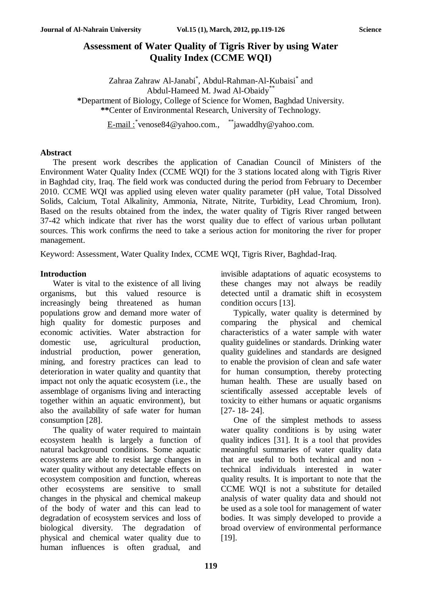## **Assessment of Water Quality of Tigris River by using Water Quality Index (CCME WQI)**

Zahraa Zahraw Al-Janabi<sup>\*</sup>, Abdul-Rahman-Al-Kubaisi<sup>\*</sup> and Abdul-Hameed M. Jwad Al-Obaidy\*\* **\***Department of Biology, College of Science for Women, Baghdad University. **\*\***Center of Environmental Research, University of Technology.

E-mail : \*[venose84@yahoo.com.](mailto:*venose84@yahoo.com), \*\*\*[jawaddhy@yahoo.com.](mailto:**jawaddhy@yahoo.com)

#### **Abstract**

The present work describes the application of Canadian Council of Ministers of the Environment Water Quality Index (CCME WQI) for the 3 stations located along with Tigris River in Baghdad city, Iraq. The field work was conducted during the period from February to December 2010. CCME WQI was applied using eleven water quality parameter (pH value, Total Dissolved Solids, Calcium, Total Alkalinity, Ammonia, Nitrate, Nitrite, Turbidity, Lead Chromium, Iron). Based on the results obtained from the index, the water quality of Tigris River ranged between 37-42 which indicate that river has the worst quality due to effect of various urban pollutant sources. This work confirms the need to take a serious action for monitoring the river for proper management.

Keyword: Assessment, Water Quality Index, CCME WQI, Tigris River, Baghdad-Iraq.

### **Introduction**

Water is vital to the existence of all living organisms, but this valued resource is increasingly being threatened as human populations grow and demand more water of high quality for domestic purposes and economic activities. Water abstraction for domestic use, agricultural production, industrial production, power generation, mining, and forestry practices can lead to deterioration in water quality and quantity that impact not only the aquatic ecosystem (i.e., the assemblage of organisms living and interacting together within an aquatic environment), but also the availability of safe water for human consumption [28].

The quality of water required to maintain ecosystem health is largely a function of natural background conditions. Some aquatic ecosystems are able to resist large changes in water quality without any detectable effects on ecosystem composition and function, whereas other ecosystems are sensitive to small changes in the physical and chemical makeup of the body of water and this can lead to degradation of ecosystem services and loss of biological diversity. The degradation of physical and chemical water quality due to human influences is often gradual, and

invisible adaptations of aquatic ecosystems to these changes may not always be readily detected until a dramatic shift in ecosystem condition occurs [13].

Typically, water quality is determined by comparing the physical and chemical characteristics of a water sample with water quality guidelines or standards. Drinking water quality guidelines and standards are designed to enable the provision of clean and safe water for human consumption, thereby protecting human health. These are usually based on scientifically assessed acceptable levels of toxicity to either humans or aquatic organisms [27- 18- 24].

One of the simplest methods to assess water quality conditions is by using water quality indices [31]. It is a tool that provides meaningful summaries of water quality data that are useful to both technical and non technical individuals interested in water quality results. It is important to note that the CCME WQI is not a substitute for detailed analysis of water quality data and should not be used as a sole tool for management of water bodies. It was simply developed to provide a broad overview of environmental performance [19].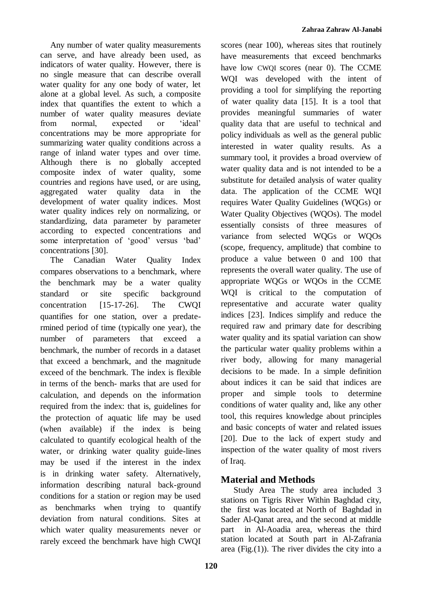Any number of water quality measurements can serve, and have already been used, as indicators of water quality. However, there is no single measure that can describe overall water quality for any one body of water, let alone at a global level. As such, a composite index that quantifies the extent to which a number of water quality measures deviate from normal, expected or 'ideal' concentrations may be more appropriate for summarizing water quality conditions across a range of inland water types and over time. Although there is no globally accepted composite index of water quality, some countries and regions have used, or are using, aggregated water quality data in the development of water quality indices. Most water quality indices rely on normalizing, or standardizing, data parameter by parameter according to expected concentrations and some interpretation of 'good' versus 'bad' concentrations [30].

The Canadian Water Quality Index compares observations to a benchmark, where the benchmark may be a water quality standard or site specific background concentration [15-17-26]. The CWQI quantifies for one station, over a predatermined period of time (typically one year), the number of parameters that exceed a benchmark, the number of records in a dataset that exceed a benchmark, and the magnitude exceed of the benchmark. The index is flexible in terms of the bench- marks that are used for calculation, and depends on the information required from the index: that is, guidelines for the protection of aquatic life may be used (when available) if the index is being calculated to quantify ecological health of the water, or drinking water quality guide-lines may be used if the interest in the index is in drinking water safety. Alternatively, information describing natural back-ground conditions for a station or region may be used as benchmarks when trying to quantify deviation from natural conditions. Sites at which water quality measurements never or rarely exceed the benchmark have high CWQI scores (near 100), whereas sites that routinely have measurements that exceed benchmarks have low CWQI scores (near 0). The CCME WQI was developed with the intent of providing a tool for simplifying the reporting of water quality data [15]. It is a tool that provides meaningful summaries of water quality data that are useful to technical and policy individuals as well as the general public interested in water quality results. As a summary tool, it provides a broad overview of water quality data and is not intended to be a substitute for detailed analysis of water quality data. The application of the CCME WQI requires Water Quality Guidelines (WQGs) or Water Quality Objectives (WQOs). The model essentially consists of three measures of variance from selected WQGs or WQOs (scope, frequency, amplitude) that combine to produce a value between 0 and 100 that represents the overall water quality. The use of appropriate WQGs or WQOs in the CCME WQI is critical to the computation of representative and accurate water quality indices [23]. Indices simplify and reduce the required raw and primary date for describing water quality and its spatial variation can show the particular water quality problems within a river body, allowing for many managerial decisions to be made. In a simple definition about indices it can be said that indices are proper and simple tools to determine conditions of water quality and, like any other tool, this requires knowledge about principles and basic concepts of water and related issues [20]. Due to the lack of expert study and inspection of the water quality of most rivers of Iraq.

# **Material and Methods**

Study Area The study area included 3 stations on Tigris River Within Baghdad city, the first was located at North of Baghdad in Sader Al-Qanat area, and the second at middle part in Al-Aoadia area, whereas the third station located at South part in Al-Zafrania area (Fig. $(1)$ ). The river divides the city into a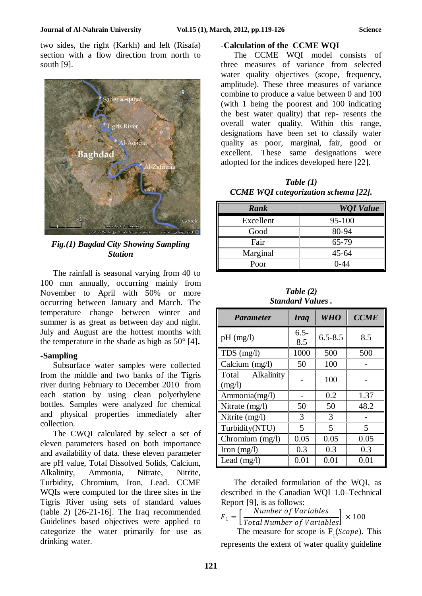two sides, the right (Karkh) and left (Risafa) section with a flow direction from north to south [9].



*Fig.(1) Bagdad City Showing Sampling Station*

The rainfall is seasonal varying from 40 to 100 mm annually, occurring mainly from November to April with 50% or more occurring between January and March. The temperature change between winter and summer is as great as between day and night. July and August are the hottest months with the temperature in the shade as high as 50° [4**].**

#### **-Sampling**

Subsurface water samples were collected from the middle and two banks of the Tigris river during February to December 2010 from each station by using clean polyethylene bottles. Samples were analyzed for chemical and physical properties immediately after collection.

The CWQI calculated by select a set of eleven parameters based on both importance and availability of data. these eleven parameter are pH value, Total Dissolved Solids, Calcium, Alkalinity, Ammonia, Nitrate, Nitrite, Turbidity, Chromium, Iron, Lead. CCME WQIs were computed for the three sites in the Tigris River using sets of standard values (table 2) [26-21-16]. The Iraq recommended Guidelines based objectives were applied to categorize the water primarily for use as drinking water.

#### **-Calculation of the CCME WQI**

The CCME WQI model consists of three measures of variance from selected water quality objectives (scope, frequency, amplitude). These three measures of variance combine to produce a value between 0 and 100 (with 1 being the poorest and 100 indicating the best water quality) that rep- resents the overall water quality. Within this range, designations have been set to classify water quality as poor, marginal, fair, good or excellent. These same designations were adopted for the indices developed here [22].

*Table (1) CCME WQI categorization schema [22].*

| <b>Rank</b> | <b>WQI</b> Value |  |  |
|-------------|------------------|--|--|
| Excellent   | 95-100           |  |  |
| Good        | 80-94            |  |  |
| Fair        | 65-79            |  |  |
| Marginal    | $45 - 64$        |  |  |
| Poor        | $0 - 44$         |  |  |

*Table (2) Standard Values .*

| <b>Parameter</b>              | <b>Iraq</b>    | <b>WHO</b>               | <b>CCME</b>              |
|-------------------------------|----------------|--------------------------|--------------------------|
| $pH$ (mg/l)                   | $6.5 -$<br>8.5 | $6.5 - 8.5$              | 8.5                      |
| $TDS$ (mg/l)                  | 1000           | 500                      | 500                      |
| Calcium (mg/l)                | 50             | 100                      |                          |
| Total<br>Alkalinity<br>(mg/l) |                | 100                      |                          |
| Ammonia(mg/l)                 |                | 0.2                      | 1.37                     |
| Nitrate (mg/l)                | 50             | 50                       | 48.2                     |
| Nitrite (mg/l)                | 3              | $\mathcal{F}$            |                          |
| Turbidity(NTU)                | 5              | $\overline{\phantom{0}}$ | $\overline{\mathcal{L}}$ |
| Chromium (mg/l)               | 0.05           | 0.05                     | 0.05                     |
| Iron $(mg/l)$                 | 0.3            | 0.3                      | 0.3                      |
| Lead $(mg/l)$                 | 0.01           | 0.01                     | 0.01                     |

The detailed formulation of the WQI, as described in the Canadian WQI 1.0–Technical Report [9], is as follows:

 $F_1 =$ Number of Variables  $\left[\frac{3}{100}\right] \times 100$ <br>Total Number of Variables

The measure for scope is  $F_1$ (*Scope*). This represents the extent of water quality guideline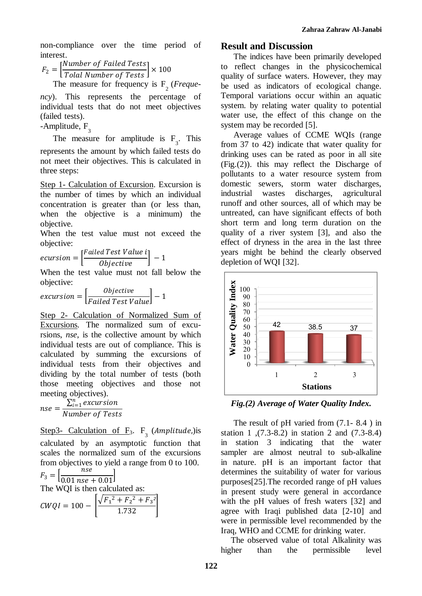non-compliance over the time period of interest.

 $F_2 = |$ Number of Failed Tests  $\left[\frac{m_{100}}{Total Number of Tests}\right] \times 100$ 

The measure for frequency is  $F_2$  (*Frequency*). This represents the percentage of individual tests that do not meet objectives (failed tests).

-Amplitude, F<sub>3</sub>

The measure for amplitude is  $F_3$ . This represents the amount by which failed tests do not meet their objectives. This is calculated in three steps:

Step 1- Calculation of Excursion. Excursion is the number of times by which an individual concentration is greater than (or less than, when the objective is a minimum) the objective.

When the test value must not exceed the objective:

$$
ecursion = \left[\frac{Failed Test Value i}{Objective}\right] - 1
$$

When the test value must not fall below the objective:

$$
excursion = \left[\frac{Objective}{Failed Test Value}\right] - 1
$$

Step 2- Calculation of Normalized Sum of Excursions*.* The normalized sum of excursions, *nse*, is the collective amount by which individual tests are out of compliance. This is calculated by summing the excursions of individual tests from their objectives and dividing by the total number of tests (both those meeting objectives and those not meeting objectives).

 $nse =$  $\sum_{i=1}^n$  excursion Number of Tests

Step3- Calculation of  $F_3$ .  $F_3$  (*Amplitude*,) is calculated by an asymptotic function that scales the normalized sum of the excursions from objectives to yield a range from 0 to 100.

 $F_3 = \frac{3}{2} \arctan \frac{nse}{n}$  $\frac{h}{0.01 \text{ nse} + 0.01}$ The WQI is then calculated as:  $CWQI = 100 \sqrt{F_1^2 + F_2^2 + F_3^2}$  $\frac{1.732}{1.732}$ 

### **Result and Discussion**

The indices have been primarily developed to reflect changes in the physicochemical quality of surface waters. However, they may be used as indicators of ecological change. Temporal variations occur within an aquatic system. by relating water quality to potential water use, the effect of this change on the system may be recorded [5].

Average values of CCME WQIs (range from 37 to 42) indicate that water quality for drinking uses can be rated as poor in all site (Fig.(2)). this may reflect the Discharge of pollutants to a water resource system from domestic sewers, storm water discharges, industrial wastes discharges, agricultural runoff and other sources, all of which may be untreated, can have significant effects of both short term and long term duration on the quality of a river system [3], and also the effect of dryness in the area in the last three years might be behind the clearly observed depletion of WQI [32].



*Fig.(2) Average of Water Quality Index.*

The result of pH varied from (7.1- 8.4 ) in station 1 ,(7.3-8.2) in station 2 and (7.3-8.4) in station 3 indicating that the water sampler are almost neutral to sub-alkaline in nature. pH is an important factor that determines the suitability of water for various purposes[25].The recorded range of pH values in present study were general in accordance with the pH values of fresh waters [32] and agree with Iraqi published data [2-10] and were in permissible level recommended by the Iraq, WHO and CCME for drinking water.

The observed value of total Alkalinity was higher than the permissible level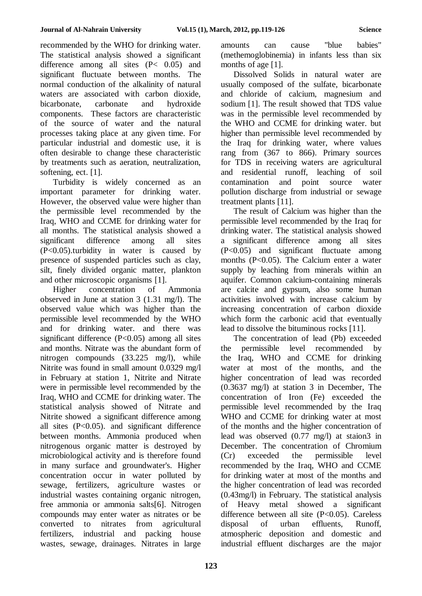recommended by the WHO for drinking water. The statistical analysis showed a significant difference among all sites (P< 0.05) and significant fluctuate between months. The normal conduction of the alkalinity of natural waters are associated with carbon dioxide, bicarbonate, carbonate and hydroxide components. These factors are characteristic of the source of water and the natural processes taking place at any given time. For particular industrial and domestic use, it is often desirable to change these characteristic by treatments such as aeration, neutralization, softening, ect. [1].

Turbidity is widely concerned as an important parameter for drinking water. However, the observed value were higher than the permissible level recommended by the Iraq, WHO and CCME for drinking water for all months. The statistical analysis showed a significant difference among all sites (P<0.05).turbidity in water is caused by presence of suspended particles such as clay, silt, finely divided organic matter, plankton and other microscopic organisms [1].

Higher concentration of Ammonia observed in June at station 3 (1.31 mg/l). The observed value which was higher than the permissible level recommended by the WHO and for drinking water. and there was significant difference  $(P<0.05)$  among all sites and months. Nitrate was the abundant form of nitrogen compounds (33.225 mg/l), while Nitrite was found in small amount 0.0329 mg/l in February at station 1, Nitrite and Nitrate were in permissible level recommended by the Iraq, WHO and CCME for drinking water. The statistical analysis showed of Nitrate and Nitrite showed a significant difference among all sites  $(P<0.05)$ . and significant difference between months. Ammonia produced when nitrogenous organic matter is destroyed by microbiological activity and is therefore found in many surface and groundwater's. Higher concentration occur in water polluted by sewage, fertilizers, agriculture wastes or industrial wastes containing organic nitrogen, free ammonia or ammonia salts[6]. Nitrogen compounds may enter water as nitrates or be converted to nitrates from agricultural fertilizers, industrial and packing house wastes, sewage, drainages. Nitrates in large amounts can cause "blue babies" (methemoglobinemia) in infants less than six months of age [1].

Dissolved Solids in natural water are usually composed of the sulfate, bicarbonate and chloride of calcium, magnesium and sodium [1]. The result showed that TDS value was in the permissible level recommended by the WHO and CCME for drinking water. but higher than permissible level recommended by the Iraq for drinking water, where values rang from (367 to 866). Primary sources for TDS in receiving waters are [agricultural](http://en.wikipedia.org/wiki/Agriculture) and residential runoff, leaching of [soil](http://en.wikipedia.org/wiki/Soil_contamination)  [contamination](http://en.wikipedia.org/wiki/Soil_contamination) and [point source](http://en.wikipedia.org/wiki/Point_source_(pollution)) [water](http://en.wikipedia.org/wiki/Water_pollution)  [pollution](http://en.wikipedia.org/wiki/Water_pollution) discharge from industrial or [sewage](http://en.wikipedia.org/wiki/Sewage_treatment)  [treatment](http://en.wikipedia.org/wiki/Sewage_treatment) plants [11].

The result of Calcium was higher than the permissible level recommended by the Iraq for drinking water. The statistical analysis showed a significant difference among all sites (P<0.05) and significant fluctuate among months (P<0.05). The Calcium enter a water supply by leaching from minerals within an [aquifer.](http://en.wikipedia.org/wiki/Aquifer) Common calcium-containing minerals are [calcite](http://en.wikipedia.org/wiki/Calcite) and [gypsum,](http://en.wikipedia.org/wiki/Gypsum) also some human activities involved with increase calcium by increasing concentration of carbon dioxide which form the carbonic acid that eventually lead to dissolve the bituminous rocks [11].

The concentration of lead (Pb) exceeded the permissible level recommended by the Iraq, WHO and CCME for drinking water at most of the months, and the higher concentration of lead was recorded (0.3637 mg/l) at station 3 in December, The concentration of Iron (Fe) exceeded the permissible level recommended by the Iraq WHO and CCME for drinking water at most of the months and the higher concentration of lead was observed (0.77 mg/l) at staion3 in December. The concentration of Chromium (Cr) exceeded the permissible level recommended by the Iraq, WHO and CCME for drinking water at most of the months and the higher concentration of lead was recorded (0.43mg/l) in February. The statistical analysis of Heavy metal showed a significant difference between all site  $(P<0.05)$ . Careless disposal of urban effluents, Runoff, atmospheric deposition and domestic and industrial effluent discharges are the major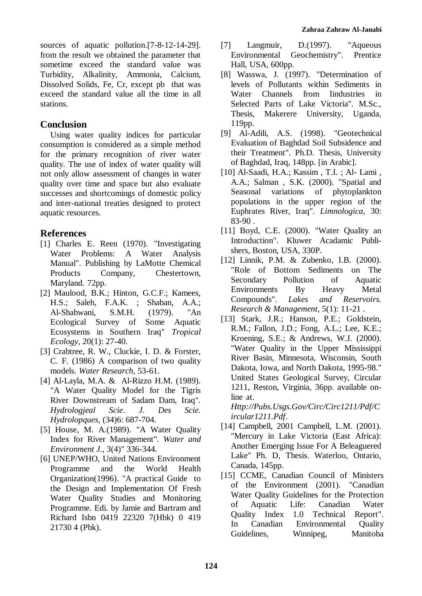sources of aquatic pollution.[7-8-12-14-29]. from the result we obtained the parameter that sometime exceed the standard value was Turbidity, Alkalinity, Ammonia, Calcium, Dissolved Solids, Fe, Cr, except pb that was exceed the standard value all the time in all stations.

### **Conclusion**

Using water quality indices for particular consumption is considered as a simple method for the primary recognition of river water quality. The use of index of water quality will not only allow assessment of changes in water quality over time and space but also evaluate successes and shortcomings of domestic policy and inter-national treaties designed to protect aquatic resources.

## **References**

- [1] Charles E. Reen (1970). "Investigating Water Problems: A Water Analysis Manual". Publishing by LaMotte Chemical Products Company, Chestertown, Maryland. 72pp.
- [2] Maulood, B.K.; Hinton, G.C.F.; Kamees, H.S.; Saleh, F.A.K. ; Shaban, A.A.; Al-Shahwani, S.M.H. (1979). "An Ecological Survey of Some Aquatic Ecosystems in Southern Iraq" *Tropical Ecology,* 20(1): 27-40.
- [3] Crabtree, R. W., Cluckie, I. D. & Forster, C. F. (1986) A comparison of two quality models. *Water Research*, 53-61.
- [4] Al-Layla, M.A. & Al-Rizzo H.M. (1989). "A Water Quality Model for the Tigris River Downstream of Sadam Dam, Iraq". *Hydrologjeal Scie. J. Des Scie. Hydrolopques*, (34)6: 687-704.
- [5] House, M. A.(1989). "A Water Quality Index for River Management". *Water and Environment J*., 3(4)" 336-344.
- [6] UNEP/WHO, United Nations Environment Programme and the World Health Organization(1996). "A practical Guide to the Design and Implementation Of Fresh Water Quality Studies and Monitoring Programme. Edi. by Jamie and Bartram and Richard Isbn 0419 22320 7(Hbk) 0 419 21730 4 (Pbk).
- [7] Langmuir, D.(1997). "Aqueous Environmental Geochemistry". Prentice Hall, USA, 600pp.
- [8] Wasswa, J. (1997). "Determination of levels of Pollutants within Sediments in Water Channels from Iindustries in Selected Parts of Lake Victoria". M.Sc., Thesis, Makerere University, Uganda, 119pp.
- [9] Al-Adili, A.S. (1998). "Geotechnical Evaluation of Baghdad Soil Subsidence and their Treatment". Ph.D. Thesis, University of Baghdad, Iraq, 148pp. [in Arabic].
- [10] Al-Saadi, H.A.; Kassim , T.I. ; Al- Lami , A.A.; Salman , S.K. (2000). "Spatial and Seasonal variations of phytoplankton populations in the upper region of the Euphrates River, Iraq". *Limnologica,* 30: 83-90 .
- [11] Boyd, C.E. (2000). "Water Quality an Introduction". Kluwer Acadamic Publishers, Boston, USA, 330P.
- [12] Linnik, P.M. & Zubenko, I.B. (2000). "Role of Bottom Sediments on The Secondary Pollution of Aquatic Environments By Heavy Metal Compounds". *Lakes and Reservoirs. Research & Management*, 5(1): 11-21 .
- [13] Stark, J.R.; Hanson, P.E.; Goldstein, R.M.; Fallon, J.D.; Fong, A.L.; Lee, K.E.; Kroening, S.E.; & Andrews, W.J. (2000). "Water Quality in the Upper Mississippi River Basin, Minnesota, Wisconsin, South Dakota, Iowa, and North Dakota, 1995-98." United States Geological Survey, Circular 1211, Reston, Virginia, 36pp. available online at.

*[Http://Pubs.Usgs.Gov/Circ/Circ1211/Pdf/C](http://pubs.usgs.gov/circ/circ1211/pdf/circular1211.pdf) [ircular1211.Pdf](http://pubs.usgs.gov/circ/circ1211/pdf/circular1211.pdf)*.

- [14] Campbell, 2001 Campbell, L.M. (2001). "Mercury in Lake Victoria (East Africa): Another Emerging Issue For A Beleaguered Lake" Ph. D, Thesis. Waterloo, Ontario, Canada, 145pp.
- [15] CCME, Canadian Council of Ministers of the Environment (2001). "Canadian Water Quality Guidelines for the Protection of Aquatic Life: Canadian Water Quality Index 1.0 Technical Report". In Canadian Environmental Quality Guidelines, Winnipeg, Manitoba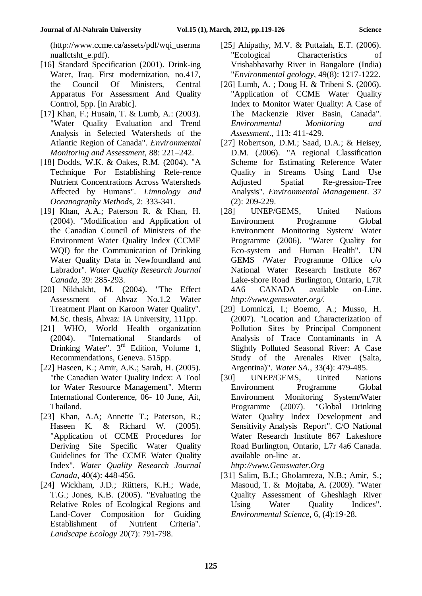[\(http://www.ccme.ca/assets/pdf/wqi\\_userma](http://www.ccme.ca/assets/pdf/wqi_usermanualfctsht_e.pdf) [nualfctsht\\_e.pdf\)](http://www.ccme.ca/assets/pdf/wqi_usermanualfctsht_e.pdf).

- [16] Standard Specification (2001). Drink-ing Water, Iraq. First modernization, no.417, the Council Of Ministers, Central Apparatus For Assessment And Quality Control, 5pp. [in Arabic].
- [17] Khan, F.; Husain, T. & Lumb, A.: (2003). "Water Quality Evaluation and Trend Analysis in Selected Watersheds of the Atlantic Region of Canada". *Environmental Monitoring and Assessment,* 88: 221–242.
- [18] Dodds, W.K. & Oakes, R.M. (2004). "A Technique For Establishing Refe-rence Nutrient Concentrations Across Watersheds Affected by Humans". *Limnology and Oceanography Methods*, 2: 333-341.
- [19] Khan, A.A.; Paterson R. & Khan, H. (2004). "Modification and Application of the Canadian Council of Ministers of the Environment Water Quality Index (CCME WQI) for the Communication of Drinking Water Quality Data in Newfoundland and Labrador". *Water Quality Research Journal Canada*, 39: 285-293.
- [20] Nikbakht, M. (2004). "The Effect Assessment of Ahvaz No.1,2 Water Treatment Plant on Karoon Water Quality". M.Sc. thesis, Ahvaz: IA University, 111pp.
- [21] WHO, World Health organization (2004). "International Standards of Drinking Water". 3<sup>rd</sup> Edition, Volume 1, Recommendations, Geneva. 515pp.
- [22] Haseen, K.; Amir, A.K.; Sarah, H. (2005). "the Canadian Water Quality Index: A Tool for Water Resource Management". Mterm International Conference, 06- 10 June, Ait, Thailand.
- [23] Khan, A.A; Annette T.; Paterson, R.; Haseen K. & Richard W. (2005). "Application of CCME Procedures for Deriving Site Specific Water Quality Guidelines for The CCME Water Quality Index". *Water Quality Research Journal Canada*, 40(4): 448-456.
- [24] Wickham, J.D.; Riitters, K.H.; Wade, T.G.; Jones, K.B. (2005). "Evaluating the Relative Roles of Ecological Regions and Land-Cover Composition for Guiding Establishment of Nutrient Criteria". *Landscape Ecology* 20(7): 791-798.
- [25] Ahipathy, M.V. & Puttaiah, E.T. (2006). "Ecological Characteristics of Vrishabhavathy River in Bangalore (India) "*Environmental geology,* 49(8): 1217-1222.
- [26] Lumb, A. ; Doug H. & Tribeni S. (2006). "Application of CCME Water Quality Index to Monitor Water Quality: A Case of The Mackenzie River Basin, Canada"*. Environmental Monitoring and Assessment*., 113: 411-429.
- [27] Robertson, D.M.; Saad, D.A.; & Heisey, D.M. (2006). "A regional Classification Scheme for Estimating Reference Water Quality in Streams Using Land Use Adjusted Spatial Re-gression-Tree Analysis". *Environmental Management*. 37 (2): 209-229.
- [28] UNEP/GEMS, United Nations Environment Programme Global Environment Monitoring System/ Water Programme (2006). "Water Quality for Eco-system and Human Health". UN GEMS /Water Programme Office c/o National Water Research Institute 867 Lake-shore Road Burlington, Ontario, L7R 4A6 CANADA available on-Line. *[http://www.gemswater.org/.](http://www.gemswater.org/)*
- [29] Lomniczi, I.; Boemo, A.; Musso, H. (2007). "Location and Characterization of Pollution Sites by Principal Component Analysis of Trace Contaminants in A Slightly Polluted Seasonal River: A Case Study of the Arenales River (Salta, Argentina)". *Water SA.*, 33(4): 479-485.
- [30] UNEP/GEMS, United Nations Environment Programme Global Environment Monitoring System/Water Programme (2007). "Global Drinking Water Quality Index Development and Sensitivity Analysis Report". C/O National Water Research Institute 867 Lakeshore Road Burlington, Ontario, L7r 4a6 Canada. available on-line at. . *[http://www.Gemswater.Org](http://www.gemswater.org/)*

[31] Salim, B.J.; Gholamreza, N.B.; Amir, S.; Masoud, T. & Mojtaba, A. (2009). "Water Quality Assessment of Gheshlagh River Using Water Quality Indices". *Environmental Science*, 6, (4):19-28.